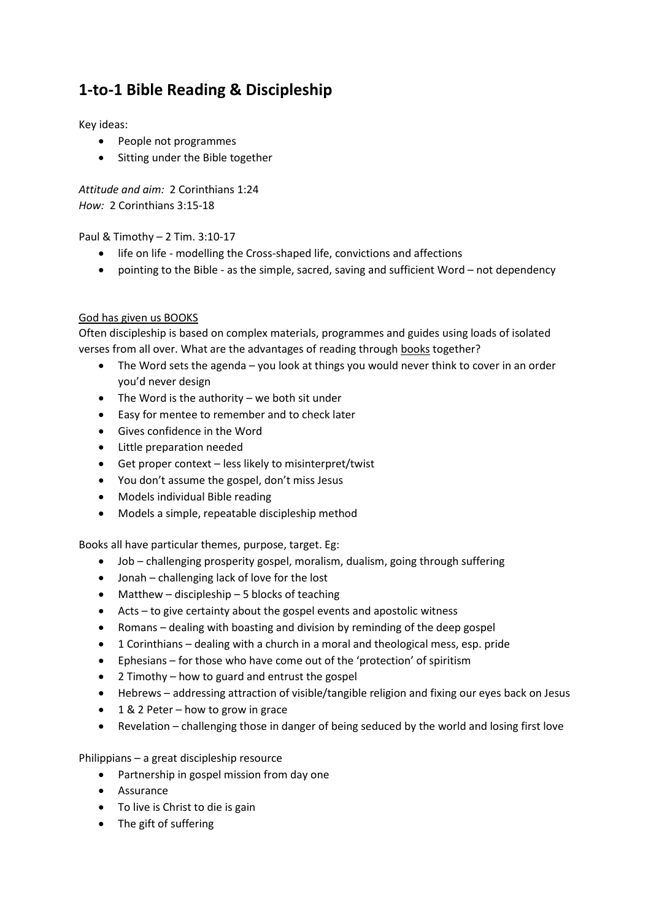# **1-to-1 Bible Reading & Discipleship**

Key ideas:

- People not programmes
- Sitting under the Bible together

*Attitude and aim:* 2 Corinthians 1:24 *How:* 2 Corinthians 3:15-18

Paul & Timothy – 2 Tim. 3:10-17

- life on life modelling the Cross-shaped life, convictions and affections
- pointing to the Bible as the simple, sacred, saving and sufficient Word not dependency

## God has given us BOOKS

Often discipleship is based on complex materials, programmes and guides using loads of isolated verses from all over. What are the advantages of reading through books together?

- The Word sets the agenda you look at things you would never think to cover in an order you'd never design
- The Word is the authority we both sit under
- Easy for mentee to remember and to check later
- Gives confidence in the Word
- Little preparation needed
- Get proper context less likely to misinterpret/twist
- You don't assume the gospel, don't miss Jesus
- Models individual Bible reading
- Models a simple, repeatable discipleship method

Books all have particular themes, purpose, target. Eg:

- Job challenging prosperity gospel, moralism, dualism, going through suffering
- Jonah challenging lack of love for the lost
- $\bullet$  Matthew discipleship 5 blocks of teaching
- Acts to give certainty about the gospel events and apostolic witness
- Romans dealing with boasting and division by reminding of the deep gospel
- 1 Corinthians dealing with a church in a moral and theological mess, esp. pride
- Ephesians for those who have come out of the 'protection' of spiritism
- 2 Timothy how to guard and entrust the gospel
- Hebrews addressing attraction of visible/tangible religion and fixing our eyes back on Jesus
- $\bullet$  1 & 2 Peter how to grow in grace
- Revelation challenging those in danger of being seduced by the world and losing first love

Philippians – a great discipleship resource

- Partnership in gospel mission from day one
- Assurance
- To live is Christ to die is gain
- The gift of suffering